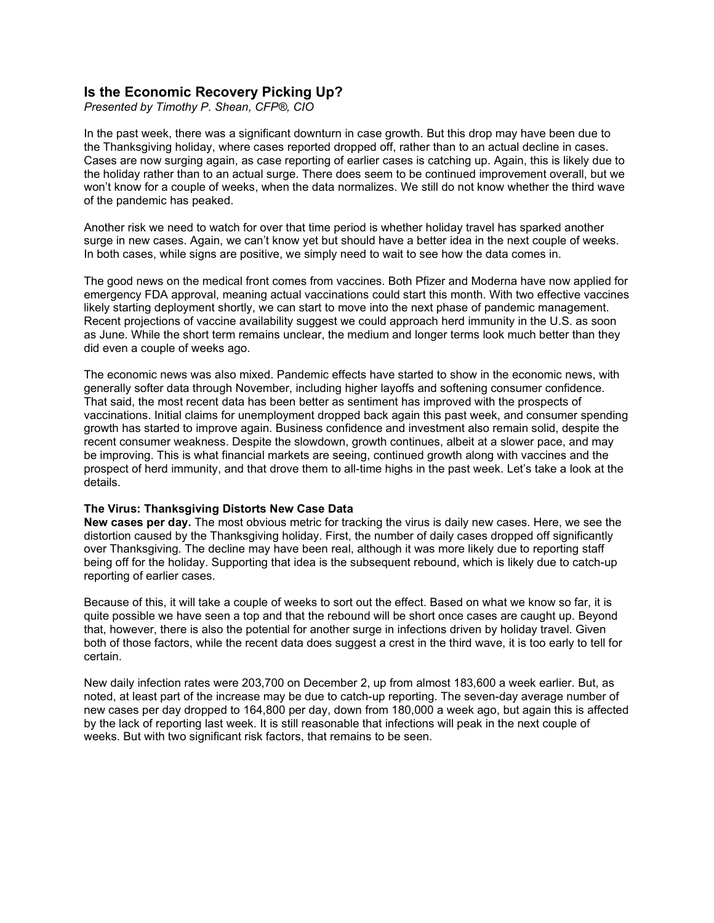# **Is the Economic Recovery Picking Up?**

*Presented by Timothy P. Shean, CFP®, CIO*

In the past week, there was a significant downturn in case growth. But this drop may have been due to the Thanksgiving holiday, where cases reported dropped off, rather than to an actual decline in cases. Cases are now surging again, as case reporting of earlier cases is catching up. Again, this is likely due to the holiday rather than to an actual surge. There does seem to be continued improvement overall, but we won't know for a couple of weeks, when the data normalizes. We still do not know whether the third wave of the pandemic has peaked.

Another risk we need to watch for over that time period is whether holiday travel has sparked another surge in new cases. Again, we can't know yet but should have a better idea in the next couple of weeks. In both cases, while signs are positive, we simply need to wait to see how the data comes in.

The good news on the medical front comes from vaccines. Both Pfizer and Moderna have now applied for emergency FDA approval, meaning actual vaccinations could start this month. With two effective vaccines likely starting deployment shortly, we can start to move into the next phase of pandemic management. Recent projections of vaccine availability suggest we could approach herd immunity in the U.S. as soon as June. While the short term remains unclear, the medium and longer terms look much better than they did even a couple of weeks ago.

The economic news was also mixed. Pandemic effects have started to show in the economic news, with generally softer data through November, including higher layoffs and softening consumer confidence. That said, the most recent data has been better as sentiment has improved with the prospects of vaccinations. Initial claims for unemployment dropped back again this past week, and consumer spending growth has started to improve again. Business confidence and investment also remain solid, despite the recent consumer weakness. Despite the slowdown, growth continues, albeit at a slower pace, and may be improving. This is what financial markets are seeing, continued growth along with vaccines and the prospect of herd immunity, and that drove them to all-time highs in the past week. Let's take a look at the details.

## **The Virus: Thanksgiving Distorts New Case Data**

**New cases per day.** The most obvious metric for tracking the virus is daily new cases. Here, we see the distortion caused by the Thanksgiving holiday. First, the number of daily cases dropped off significantly over Thanksgiving. The decline may have been real, although it was more likely due to reporting staff being off for the holiday. Supporting that idea is the subsequent rebound, which is likely due to catch-up reporting of earlier cases.

Because of this, it will take a couple of weeks to sort out the effect. Based on what we know so far, it is quite possible we have seen a top and that the rebound will be short once cases are caught up. Beyond that, however, there is also the potential for another surge in infections driven by holiday travel. Given both of those factors, while the recent data does suggest a crest in the third wave, it is too early to tell for certain.

New daily infection rates were 203,700 on December 2, up from almost 183,600 a week earlier. But, as noted, at least part of the increase may be due to catch-up reporting. The seven-day average number of new cases per day dropped to 164,800 per day, down from 180,000 a week ago, but again this is affected by the lack of reporting last week. It is still reasonable that infections will peak in the next couple of weeks. But with two significant risk factors, that remains to be seen.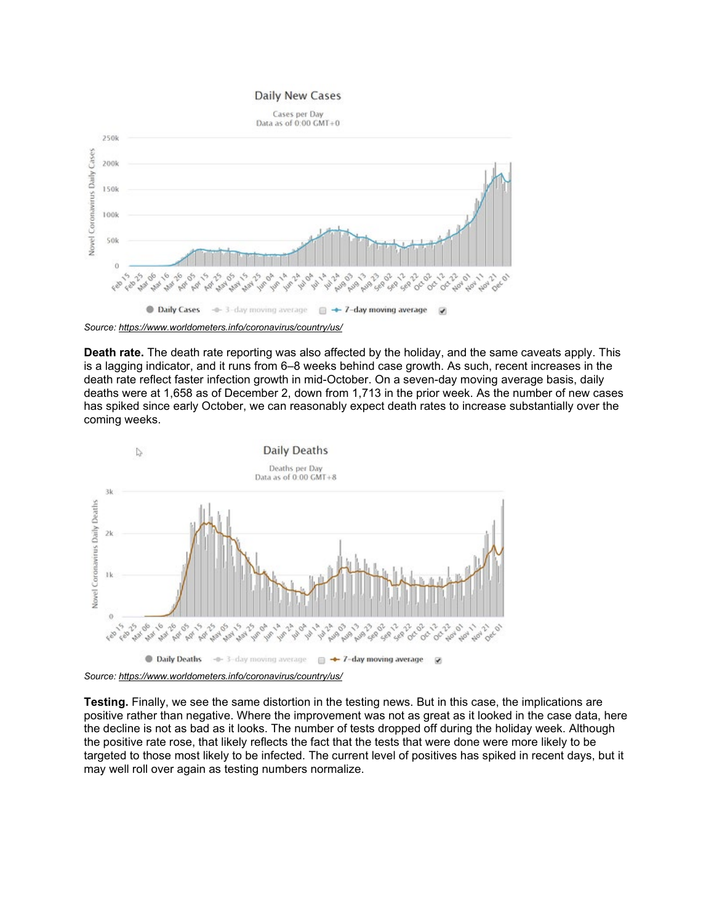#### **Daily New Cases**



*Source: <https://www.worldometers.info/coronavirus/country/us/>*

**Death rate.** The death rate reporting was also affected by the holiday, and the same caveats apply. This is a lagging indicator, and it runs from 6–8 weeks behind case growth. As such, recent increases in the death rate reflect faster infection growth in mid-October. On a seven-day moving average basis, daily deaths were at 1,658 as of December 2, down from 1,713 in the prior week. As the number of new cases has spiked since early October, we can reasonably expect death rates to increase substantially over the coming weeks.



*Source: <https://www.worldometers.info/coronavirus/country/us/>*

**Testing.** Finally, we see the same distortion in the testing news. But in this case, the implications are positive rather than negative. Where the improvement was not as great as it looked in the case data, here the decline is not as bad as it looks. The number of tests dropped off during the holiday week. Although the positive rate rose, that likely reflects the fact that the tests that were done were more likely to be targeted to those most likely to be infected. The current level of positives has spiked in recent days, but it may well roll over again as testing numbers normalize.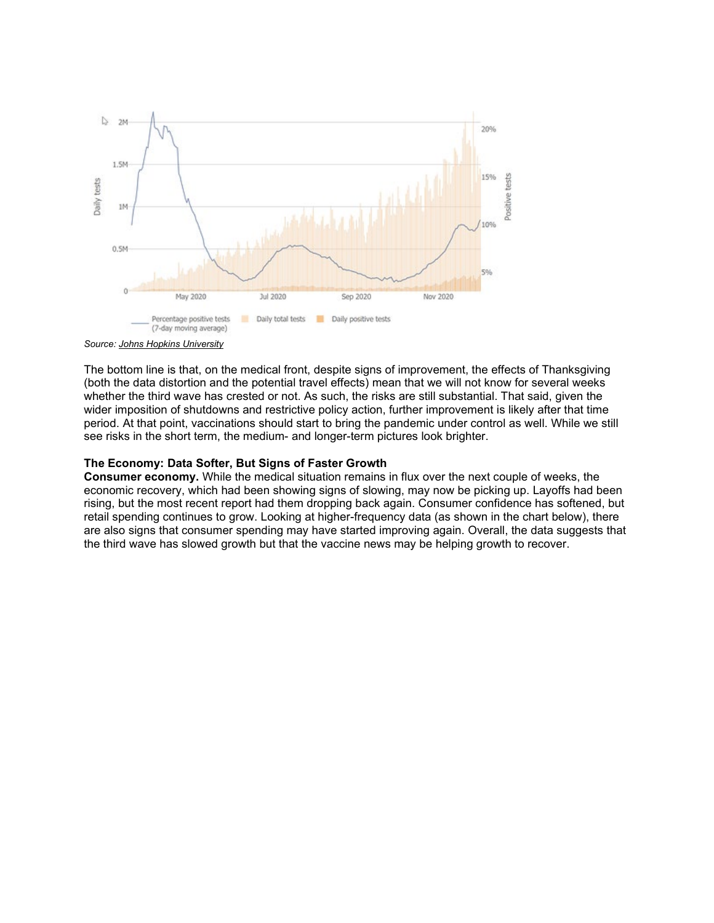



The bottom line is that, on the medical front, despite signs of improvement, the effects of Thanksgiving (both the data distortion and the potential travel effects) mean that we will not know for several weeks whether the third wave has crested or not. As such, the risks are still substantial. That said, given the wider imposition of shutdowns and restrictive policy action, further improvement is likely after that time period. At that point, vaccinations should start to bring the pandemic under control as well. While we still see risks in the short term, the medium- and longer-term pictures look brighter.

## **The Economy: Data Softer, But Signs of Faster Growth**

**Consumer economy.** While the medical situation remains in flux over the next couple of weeks, the economic recovery, which had been showing signs of slowing, may now be picking up. Layoffs had been rising, but the most recent report had them dropping back again. Consumer confidence has softened, but retail spending continues to grow. Looking at higher-frequency data (as shown in the chart below), there are also signs that consumer spending may have started improving again. Overall, the data suggests that the third wave has slowed growth but that the vaccine news may be helping growth to recover.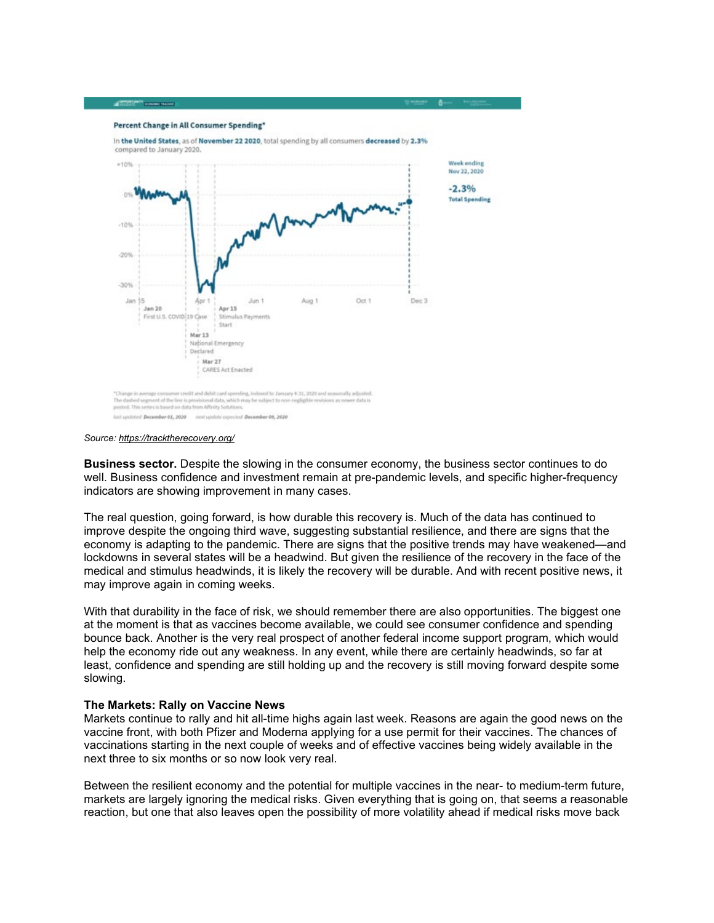

*Source: <https://tracktherecovery.org/>*

**CONTRACTS CONTRACTS** 

**Business sector.** Despite the slowing in the consumer economy, the business sector continues to do well. Business confidence and investment remain at pre-pandemic levels, and specific higher-frequency indicators are showing improvement in many cases.

The real question, going forward, is how durable this recovery is. Much of the data has continued to improve despite the ongoing third wave, suggesting substantial resilience, and there are signs that the economy is adapting to the pandemic. There are signs that the positive trends may have weakened—and lockdowns in several states will be a headwind. But given the resilience of the recovery in the face of the medical and stimulus headwinds, it is likely the recovery will be durable. And with recent positive news, it may improve again in coming weeks.

With that durability in the face of risk, we should remember there are also opportunities. The biggest one at the moment is that as vaccines become available, we could see consumer confidence and spending bounce back. Another is the very real prospect of another federal income support program, which would help the economy ride out any weakness. In any event, while there are certainly headwinds, so far at least, confidence and spending are still holding up and the recovery is still moving forward despite some slowing.

#### **The Markets: Rally on Vaccine News**

Markets continue to rally and hit all-time highs again last week. Reasons are again the good news on the vaccine front, with both Pfizer and Moderna applying for a use permit for their vaccines. The chances of vaccinations starting in the next couple of weeks and of effective vaccines being widely available in the next three to six months or so now look very real.

Between the resilient economy and the potential for multiple vaccines in the near- to medium-term future, markets are largely ignoring the medical risks. Given everything that is going on, that seems a reasonable reaction, but one that also leaves open the possibility of more volatility ahead if medical risks move back